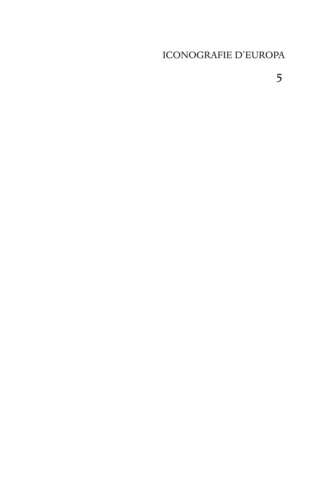## ICONOGRAFIE D'EUROPA

5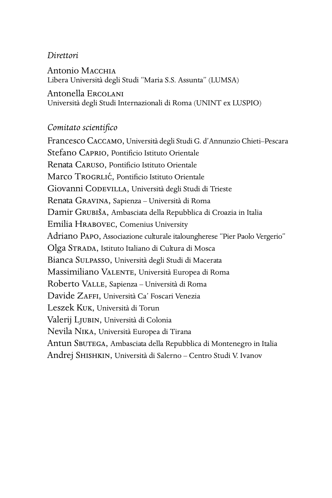#### *Direttori*

Antonio M Libera Università degli Studi "Maria S.S. Assunta" (LUMSA)

Antonella E Università degli Studi Internazionali di Roma (UNINT ex LUSPIO)

#### *Comitato scientifico*

Francesco CACCAMO, Università degli Studi G. d'Annunzio Chieti-Pescara Stefano CAPRIO, Pontificio Istituto Orientale Renata CARUSO, Pontificio Istituto Orientale Marco TROGRLIĆ, Pontificio Istituto Orientale Giovanni CODEVILLA, Università degli Studi di Trieste Renata GRAVINA, Sapienza – Università di Roma Damir GRUBIŠA, Ambasciata della Repubblica di Croazia in Italia Emilia HRABOVEC, Comenius University Adriano PAPO, Associazione culturale italoungherese "Pier Paolo Vergerio" Olga STRADA, Istituto Italiano di Cultura di Mosca Bianca SULPASSO, Università degli Studi di Macerata Massimiliano VALENTE, Università Europea di Roma Roberto VALLE, Sapienza - Università di Roma Davide ZAFFI, Università Ca' Foscari Venezia Leszek KUK, Università di Torun Valerij LJUBIN, Università di Colonia Nevila NIKA, Università Europea di Tirana Antun SBUTEGA, Ambasciata della Repubblica di Montenegro in Italia Andrej SHISHKIN, Università di Salerno - Centro Studi V. Ivanov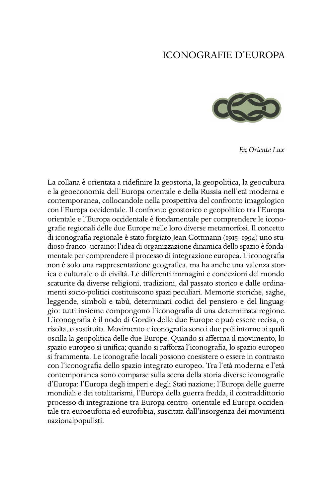### ICONOGRAFIE D'EUROPA



*Ex Oriente Lux*

La collana è orientata a ridefinire la geostoria, la geopolitica, la geocultura e la geoeconomia dell'Europa orientale e della Russia nell'età moderna e contemporanea, collocandole nella prospettiva del confronto imagologico con l'Europa occidentale. Il confronto geostorico e geopolitico tra l'Europa orientale e l'Europa occidentale è fondamentale per comprendere le iconografie regionali delle due Europe nelle loro diverse metamorfosi. Il concetto di iconografia regionale è stato forgiato Jean Gottmann (1915-1994) uno studioso franco–ucraino: l'idea di organizzazione dinamica dello spazio è fondamentale per comprendere il processo di integrazione europea. L'iconografia non è solo una rappresentazione geografica, ma ha anche una valenza storica e culturale o di civiltà. Le differenti immagini e concezioni del mondo scaturite da diverse religioni, tradizioni, dal passato storico e dalle ordinamenti socio-politici costituiscono spazi peculiari. Memorie storiche, saghe, leggende, simboli e tabù, determinati codici del pensiero e del linguaggio: tutti insieme compongono l'iconografia di una determinata regione. L'iconografia è il nodo di Gordio delle due Europe e può essere recisa, o risolta, o sostituita. Movimento e iconografia sono i due poli intorno ai quali oscilla la geopolitica delle due Europe. Quando si afferma il movimento, lo spazio europeo si unifica; quando si rafforza l'iconografia, lo spazio europeo si frammenta. Le iconografie locali possono coesistere o essere in contrasto con l'iconografia dello spazio integrato europeo. Tra l'età moderna e l'età contemporanea sono comparse sulla scena della storia diverse iconografie d'Europa: l'Europa degli imperi e degli Stati nazione; l'Europa delle guerre mondiali e dei totalitarismi, l'Europa della guerra fredda, il contraddittorio processo di integrazione tra Europa centro–orientale ed Europa occidentale tra euroeuforia ed eurofobia, suscitata dall'insorgenza dei movimenti nazionalpopulisti.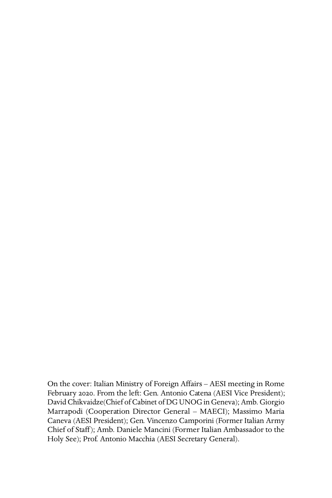On the cover: Italian Ministry of Foreign Affairs – AESI meeting in Rome February 2020. From the left: Gen. Antonio Catena (AESI Vice President); David Chikvaidze(Chief of Cabinet of DG UNOG in Geneva); Amb. Giorgio Marrapodi (Cooperation Director General – MAECI); Massimo Maria Caneva (AESI President); Gen. Vincenzo Camporini (Former Italian Army Chief of Staff); Amb. Daniele Mancini (Former Italian Ambassador to the Holy See); Prof. Antonio Macchia (AESI Secretary General).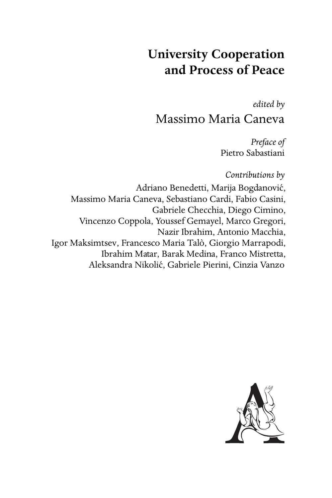# **University Cooperation and Process of Peace**

*edited by* Massimo Maria Caneva

> *Preface of* Pietro Sabastiani

*Contributions by*

Adriano Benedetti, Marija Bogdanovic,´ Massimo Maria Caneva, Sebastiano Cardi, Fabio Casini, Gabriele Checchia, Diego Cimino, Vincenzo Coppola, Youssef Gemayel, Marco Gregori, Nazir Ibrahim, Antonio Macchia, Igor Maksimtsev, Francesco Maria Talò, Giorgio Marrapodi, Ibrahim Matar, Barak Medina, Franco Mistretta, Aleksandra Nikolic, Gabriele Pierini, Cinzia Vanzo ´

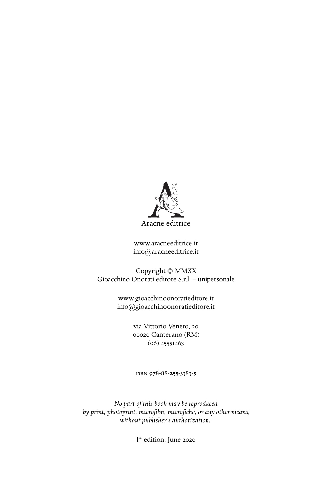

<www.aracneeditrice.it> <info@aracneeditrice.it>

Copyright © MMXX Gioacchino Onorati editore S.r.l. – unipersonale

> <www.gioacchinoonoratieditore.it> <info@gioacchinoonoratieditore.it>

> > via Vittorio Veneto, ooo2o Canterano (RM)  $(06)$  45551463

ISBN 978-88-255-3383-5

*No part of this book may be reproduced by print, photoprint, microfilm, microfiche, or any other means, without publisher's authorization.*

I *st* edition: June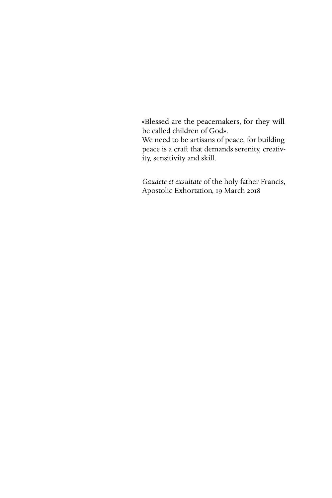«Blessed are the peacemakers, for they will be called children of God». We need to be artisans of peace, for building peace is a craft that demands serenity, creativity, sensitivity and skill.

*Gaudete et exsultate* of the holy father Francis, Apostolic Exhortation, 19 March 2018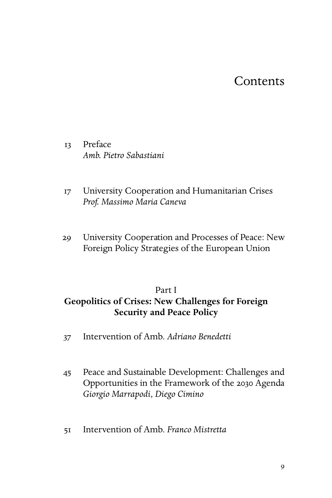## **Contents**

13 Preface *Amb. Pietro Sabastiani*

- University Cooperation and Humanitarian Crises *Prof. Massimo Maria Caneva*
- University Cooperation and Processes of Peace: New Foreign Policy Strategies of the European Union

#### Part I

## **Geopolitics of Crises: New Challenges for Foreign Security and Peace Policy**

- Intervention of Amb. *Adriano Benedetti*
- Peace and Sustainable Development: Challenges and Opportunities in the Framework of the 2030 Agenda *Giorgio Marrapodi*, *Diego Cimino*
- Intervention of Amb. *Franco Mistretta*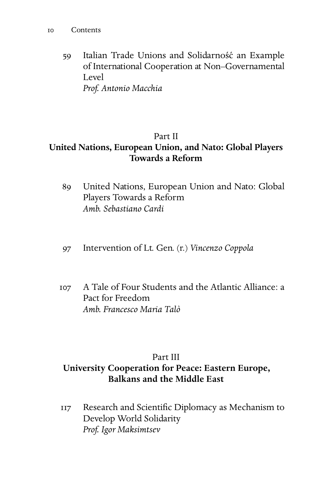59 Italian Trade Unions and Solidarność an Example of International Cooperation at Non–Governamental Level *Prof. Antonio Macchia*

## Part II

## **United Nations, European Union, and Nato: Global Players Towards a Reform**

- United Nations, European Union and Nato: Global Players Towards a Reform *Amb. Sebastiano Cardi*
- Intervention of Lt. Gen. (r.) *Vincenzo Coppola*
- A Tale of Four Students and the Atlantic Alliance: a Pact for Freedom *Amb. Francesco Maria Talò*

## Part III **University Cooperation for Peace: Eastern Europe, Balkans and the Middle East**

 Research and Scientific Diplomacy as Mechanism to Develop World Solidarity *Prof. Igor Maksimtsev*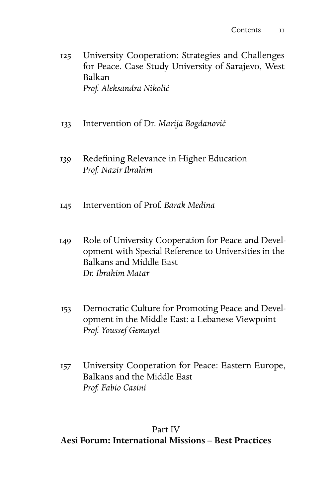- University Cooperation: Strategies and Challenges for Peace. Case Study University of Sarajevo, West Balkan *Prof. Aleksandra Nikoli´c*
- Intervention of Dr. *Marija Bogdanovi´c*
- 139 Redefining Relevance in Higher Education *Prof. Nazir Ibrahim*
- Intervention of Prof. *Barak Medina*
- 149 Role of University Cooperation for Peace and Development with Special Reference to Universities in the Balkans and Middle East *Dr. Ibrahim Matar*
- Democratic Culture for Promoting Peace and Development in the Middle East: a Lebanese Viewpoint *Prof. Youssef Gemayel*
- University Cooperation for Peace: Eastern Europe, Balkans and the Middle East *Prof. Fabio Casini*

### Part IV

#### **Aesi Forum: International Missions – Best Practices**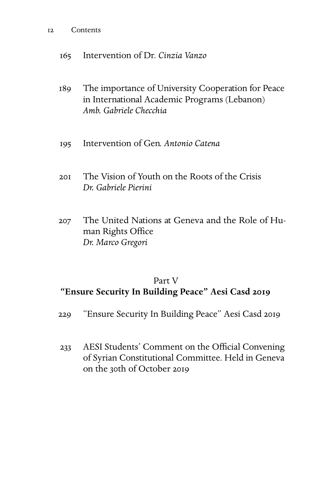#### Contents

Intervention of Dr. *Cinzia Vanzo*

- The importance of University Cooperation for Peace in International Academic Programs (Lebanon) *Amb. Gabriele Checchia*
- Intervention of Gen. *Antonio Catena*
- The Vision of Youth on the Roots of the Crisis *Dr. Gabriele Pierini*
- The United Nations at Geneva and the Role of Human Rights Office *Dr. Marco Gregori*

#### Part V

### **"Ensure Security In Building Peace" Aesi Casd**

- 229 "Ensure Security In Building Peace" Aesi Casd 2019
- AESI Students' Comment on the Official Convening of Syrian Constitutional Committee. Held in Geneva on the 30th of October 2019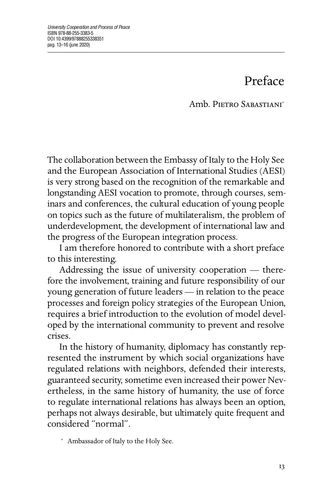# Preface

Amb PIETRO SABASTIANI<sup>\*</sup>

The collaboration between the Embassy of Italy to the Holy See and the European Association of International Studies (AESI) is very strong based on the recognition of the remarkable and longstanding AESI vocation to promote, through courses, seminars and conferences, the cultural education of young people on topics such as the future of multilateralism, the problem of underdevelopment, the development of international law and the progress of the European integration process.

I am therefore honored to contribute with a short preface to this interesting.

Addressing the issue of university cooperation — therefore the involvement, training and future responsibility of our young generation of future leaders — in relation to the peace processes and foreign policy strategies of the European Union, requires a brief introduction to the evolution of model developed by the international community to prevent and resolve crises.

In the history of humanity, diplomacy has constantly represented the instrument by which social organizations have regulated relations with neighbors, defended their interests, guaranteed security, sometime even increased their power Nevertheless, in the same history of humanity, the use of force to regulate international relations has always been an option, perhaps not always desirable, but ultimately quite frequent and considered "normal".

<sup>∗</sup> Ambassador of Italy to the Holy See.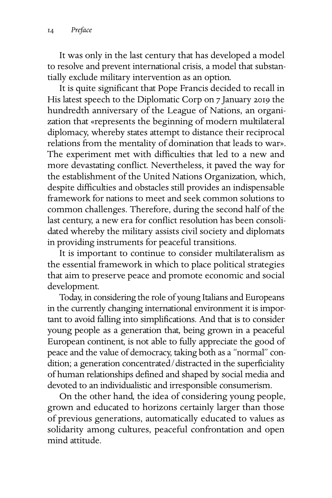It was only in the last century that has developed a model to resolve and prevent international crisis, a model that substantially exclude military intervention as an option.

It is quite significant that Pope Francis decided to recall in His latest speech to the Diplomatic Corp on 7 January 2019 the hundredth anniversary of the League of Nations, an organization that «represents the beginning of modern multilateral diplomacy, whereby states attempt to distance their reciprocal relations from the mentality of domination that leads to war». The experiment met with difficulties that led to a new and more devastating conflict. Nevertheless, it paved the way for the establishment of the United Nations Organization, which, despite difficulties and obstacles still provides an indispensable framework for nations to meet and seek common solutions to common challenges. Therefore, during the second half of the last century, a new era for conflict resolution has been consolidated whereby the military assists civil society and diplomats in providing instruments for peaceful transitions.

It is important to continue to consider multilateralism as the essential framework in which to place political strategies that aim to preserve peace and promote economic and social development.

Today, in considering the role of young Italians and Europeans in the currently changing international environment it is important to avoid falling into simplifications. And that is to consider young people as a generation that, being grown in a peaceful European continent, is not able to fully appreciate the good of peace and the value of democracy, taking both as a "normal" condition; a generation concentrated/distracted in the superficiality of human relationships defined and shaped by social media and devoted to an individualistic and irresponsible consumerism.

On the other hand, the idea of considering young people, grown and educated to horizons certainly larger than those of previous generations, automatically educated to values as solidarity among cultures, peaceful confrontation and open mind attitude.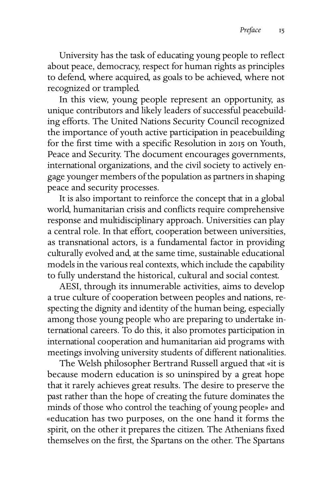University has the task of educating young people to reflect about peace, democracy, respect for human rights as principles to defend, where acquired, as goals to be achieved, where not recognized or trampled.

In this view, young people represent an opportunity, as unique contributors and likely leaders of successful peacebuilding efforts. The United Nations Security Council recognized the importance of youth active participation in peacebuilding for the first time with a specific Resolution in 2015 on Youth, Peace and Security. The document encourages governments, international organizations, and the civil society to actively engage younger members of the population as partners in shaping peace and security processes.

It is also important to reinforce the concept that in a global world, humanitarian crisis and conflicts require comprehensive response and multidisciplinary approach. Universities can play a central role. In that effort, cooperation between universities, as transnational actors, is a fundamental factor in providing culturally evolved and, at the same time, sustainable educational models in the various real contexts, which include the capability to fully understand the historical, cultural and social contest.

AESI, through its innumerable activities, aims to develop a true culture of cooperation between peoples and nations, respecting the dignity and identity of the human being, especially among those young people who are preparing to undertake international careers. To do this, it also promotes participation in international cooperation and humanitarian aid programs with meetings involving university students of different nationalities.

The Welsh philosopher Bertrand Russell argued that «it is because modern education is so uninspired by a great hope that it rarely achieves great results. The desire to preserve the past rather than the hope of creating the future dominates the minds of those who control the teaching of young people» and «education has two purposes, on the one hand it forms the spirit, on the other it prepares the citizen. The Athenians fixed themselves on the first, the Spartans on the other. The Spartans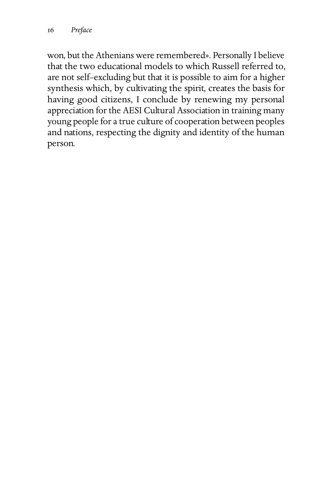won, but the Athenians were remembered». Personally I believe that the two educational models to which Russell referred to, are not self–excluding but that it is possible to aim for a higher synthesis which, by cultivating the spirit, creates the basis for having good citizens, I conclude by renewing my personal appreciation for the AESI Cultural Association in training many young people for a true culture of cooperation between peoples and nations, respecting the dignity and identity of the human person.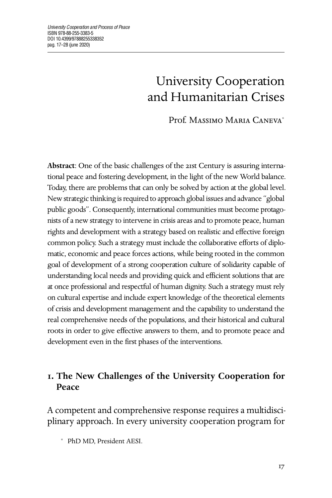# University Cooperation and Humanitarian Crises

Prof. MASSIMO MARIA CANEVA<sup>\*</sup>

Abstract: One of the basic challenges of the 21st Century is assuring international peace and fostering development, in the light of the new World balance. Today, there are problems that can only be solved by action at the global level. New strategic thinking is required to approach global issues and advance "global public goods". Consequently, international communities must become protagonists of a new strategy to intervene in crisis areas and to promote peace, human rights and development with a strategy based on realistic and effective foreign common policy. Such a strategy must include the collaborative efforts of diplomatic, economic and peace forces actions, while being rooted in the common goal of development of a strong cooperation culture of solidarity capable of understanding local needs and providing quick and efficient solutions that are at once professional and respectful of human dignity. Such a strategy must rely on cultural expertise and include expert knowledge of the theoretical elements of crisis and development management and the capability to understand the real comprehensive needs of the populations, and their historical and cultural roots in order to give effective answers to them, and to promote peace and development even in the first phases of the interventions.

## **. The New Challenges of the University Cooperation for Peace**

A competent and comprehensive response requires a multidisciplinary approach. In every university cooperation program for

<sup>∗</sup> PhD MD, President AESI.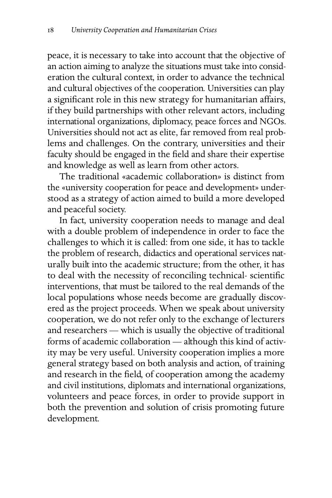peace, it is necessary to take into account that the objective of an action aiming to analyze the situations must take into consideration the cultural context, in order to advance the technical and cultural objectives of the cooperation. Universities can play a significant role in this new strategy for humanitarian affairs, if they build partnerships with other relevant actors, including international organizations, diplomacy, peace forces and NGOs. Universities should not act as elite, far removed from real problems and challenges. On the contrary, universities and their faculty should be engaged in the field and share their expertise and knowledge as well as learn from other actors.

The traditional «academic collaboration» is distinct from the «university cooperation for peace and development» understood as a strategy of action aimed to build a more developed and peaceful society.

In fact, university cooperation needs to manage and deal with a double problem of independence in order to face the challenges to which it is called: from one side, it has to tackle the problem of research, didactics and operational services naturally built into the academic structure; from the other, it has to deal with the necessity of reconciling technical- scientific interventions, that must be tailored to the real demands of the local populations whose needs become are gradually discovered as the project proceeds. When we speak about university cooperation, we do not refer only to the exchange of lecturers and researchers — which is usually the objective of traditional forms of academic collaboration — although this kind of activity may be very useful. University cooperation implies a more general strategy based on both analysis and action, of training and research in the field, of cooperation among the academy and civil institutions, diplomats and international organizations, volunteers and peace forces, in order to provide support in both the prevention and solution of crisis promoting future development.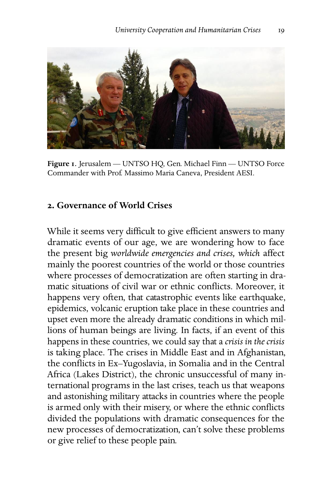

**Figure** . Jerusalem — UNTSO HQ, Gen. Michael Finn — UNTSO Force Commander with Prof. Massimo Maria Caneva, President AESI.

### **. Governance of World Crises**

While it seems very difficult to give efficient answers to many dramatic events of our age, we are wondering how to face the present big *worldwide emergencies and crises, which* affect mainly the poorest countries of the world or those countries where processes of democratization are often starting in dramatic situations of civil war or ethnic conflicts. Moreover, it happens very often, that catastrophic events like earthquake, epidemics, volcanic eruption take place in these countries and upset even more the already dramatic conditions in which millions of human beings are living. In facts, if an event of this happens in these countries, we could say that a *crisis in the crisis* is taking place. The crises in Middle East and in Afghanistan, the conflicts in Ex–Yugoslavia, in Somalia and in the Central Africa (Lakes District), the chronic unsuccessful of many international programs in the last crises, teach us that weapons and astonishing military attacks in countries where the people is armed only with their misery, or where the ethnic conflicts divided the populations with dramatic consequences for the new processes of democratization, can't solve these problems or give relief to these people pain.